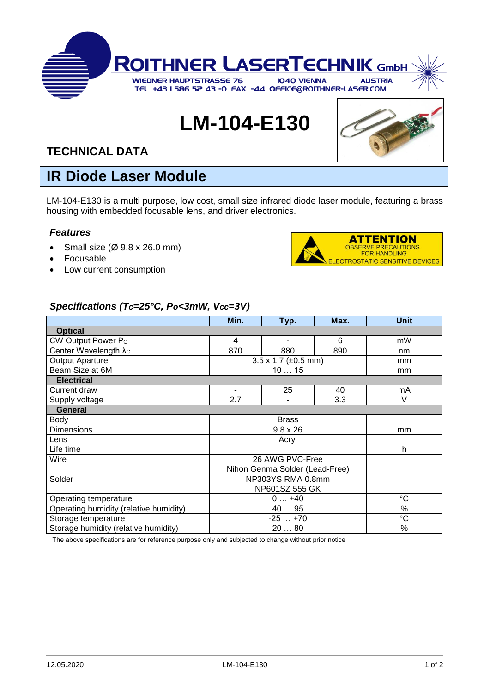

# **LM-104-E130**



### **TECHNICAL DATA**

## **IR Diode Laser Module**

LM-104-E130 is a multi purpose, low cost, small size infrared diode laser module, featuring a brass housing with embedded focusable lens, and driver electronics.

#### *Features*

- Small size  $(\emptyset$  9.8 x 26.0 mm)
- Focusable
- Low current consumption



#### *Specifications (Tc=25°C, Po<3mW, Vcc=3V)*

|                                        | Min.                                    | Typ.                     | Max. | <b>Unit</b>     |
|----------------------------------------|-----------------------------------------|--------------------------|------|-----------------|
| <b>Optical</b>                         |                                         |                          |      |                 |
| CW Output Power Po                     | 4                                       | $\overline{\phantom{a}}$ | 6    | mW              |
| Center Wavelength $\lambda_c$          | 870                                     | 880                      | 890  | nm              |
| <b>Output Aparture</b>                 | $3.5 \times 1.7 \ (\pm 0.5 \text{ mm})$ |                          |      | mm              |
| Beam Size at 6M                        | 1015                                    |                          |      | mm              |
| <b>Electrical</b>                      |                                         |                          |      |                 |
| Current draw                           |                                         | 25                       | 40   | mA              |
| Supply voltage                         | 2.7                                     |                          | 3.3  | V               |
| <b>General</b>                         |                                         |                          |      |                 |
| Body                                   | <b>Brass</b>                            |                          |      |                 |
| <b>Dimensions</b>                      | $9.8 \times 26$                         |                          |      | mm              |
| Lens                                   | Acryl                                   |                          |      |                 |
| Life time                              |                                         |                          |      | h               |
| Wire                                   | 26 AWG PVC-Free                         |                          |      |                 |
|                                        | Nihon Genma Solder (Lead-Free)          |                          |      |                 |
| Solder                                 | NP303YS RMA 0.8mm                       |                          |      |                 |
|                                        | NP601SZ 555 GK                          |                          |      |                 |
| Operating temperature                  | $0+40$                                  |                          |      | $^{\circ}C$     |
| Operating humidity (relative humidity) | 40  95                                  |                          |      | %               |
| Storage temperature                    | $-25+70$                                |                          |      | $\rm ^{\circ}C$ |
| Storage humidity (relative humidity)   | 2080                                    |                          |      | %               |

The above specifications are for reference purpose only and subjected to change without prior notice